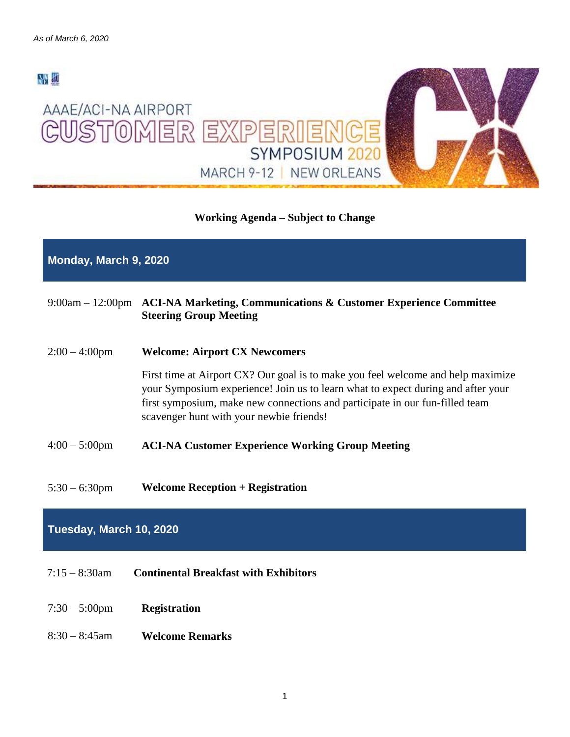

# **Working Agenda – Subject to Change**

# **Monday, March 9, 2020**

# 9:00am – 12:00pm **ACI-NA Marketing, Communications & Customer Experience Committee Steering Group Meeting**

2:00 – 4:00pm **Welcome: Airport CX Newcomers**

First time at Airport CX? Our goal is to make you feel welcome and help maximize your Symposium experience! Join us to learn what to expect during and after your first symposium, make new connections and participate in our fun-filled team scavenger hunt with your newbie friends!

- 4:00 5:00pm **ACI-NA Customer Experience Working Group Meeting**
- 5:30 6:30pm **Welcome Reception + Registration**

# **Tuesday, March 10, 2020**

- 7:15 8:30am **Continental Breakfast with Exhibitors**
- 7:30 5:00pm **Registration**
- 8:30 8:45am **Welcome Remarks**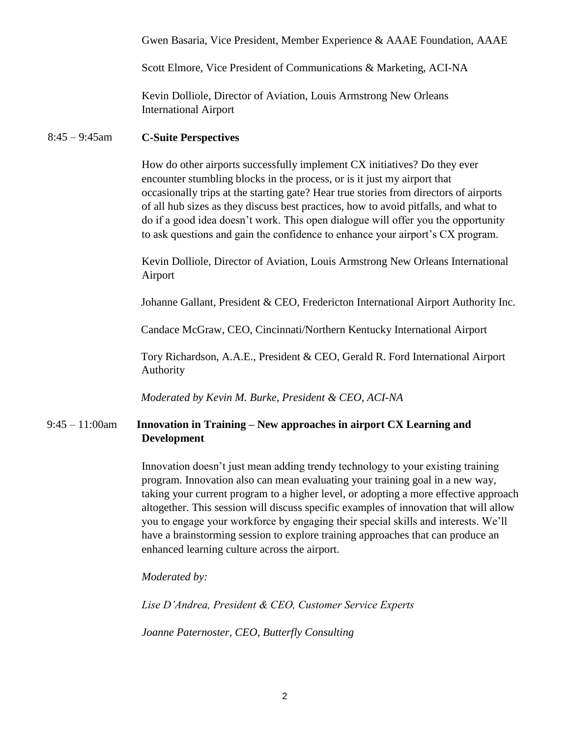Gwen Basaria, Vice President, Member Experience & AAAE Foundation, AAAE

Scott Elmore, Vice President of Communications & Marketing, ACI-NA

Kevin Dolliole, Director of Aviation, Louis Armstrong New Orleans International Airport

## 8:45 – 9:45am **C-Suite Perspectives**

How do other airports successfully implement CX initiatives? Do they ever encounter stumbling blocks in the process, or is it just my airport that occasionally trips at the starting gate? Hear true stories from directors of airports of all hub sizes as they discuss best practices, how to avoid pitfalls, and what to do if a good idea doesn't work. This open dialogue will offer you the opportunity to ask questions and gain the confidence to enhance your airport's CX program.

Kevin Dolliole, Director of Aviation, Louis Armstrong New Orleans International Airport

Johanne Gallant, President & CEO, Fredericton International Airport Authority Inc.

Candace McGraw, CEO, Cincinnati/Northern Kentucky International Airport

Tory Richardson, A.A.E., President & CEO, Gerald R. Ford International Airport Authority

*Moderated by Kevin M. Burke, President & CEO, ACI-NA*

# 9:45 – 11:00am **Innovation in Training – New approaches in airport CX Learning and Development**

Innovation doesn't just mean adding trendy technology to your existing training program. Innovation also can mean evaluating your training goal in a new way, taking your current program to a higher level, or adopting a more effective approach altogether. This session will discuss specific examples of innovation that will allow you to engage your workforce by engaging their special skills and interests. We'll have a brainstorming session to explore training approaches that can produce an enhanced learning culture across the airport.

*Moderated by:*

*Lise D'Andrea, President & CEO, Customer Service Experts*

*Joanne Paternoster, CEO, Butterfly Consulting*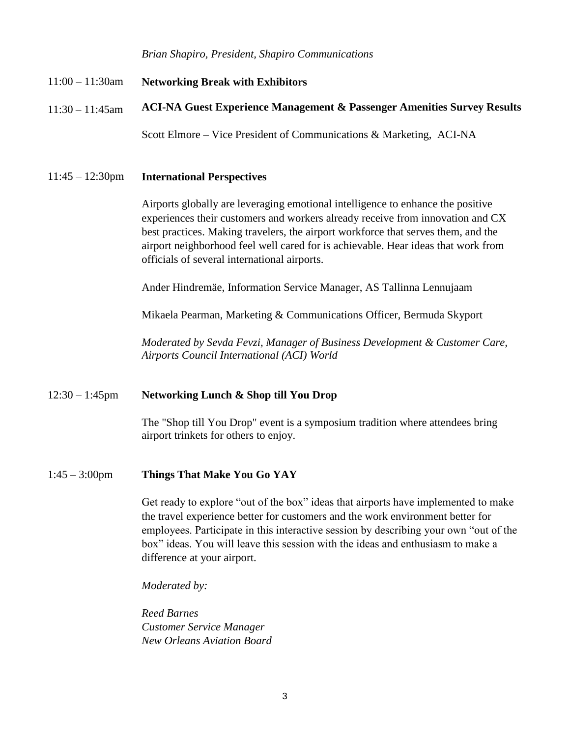*Brian Shapiro, President, Shapiro Communications*

- 11:00 11:30am **Networking Break with Exhibitors**
- $11:30 11:45$ am **ACI-NA Guest Experience Management & Passenger Amenities Survey Results**

Scott Elmore – Vice President of Communications & Marketing, ACI-NA

11:45 – 12:30pm **International Perspectives** 

Airports globally are leveraging emotional intelligence to enhance the positive experiences their customers and workers already receive from innovation and CX best practices. Making travelers, the airport workforce that serves them, and the airport neighborhood feel well cared for is achievable. Hear ideas that work from officials of several international airports.

Ander Hindremäe, Information Service Manager, AS Tallinna Lennujaam

Mikaela Pearman, Marketing & Communications Officer, Bermuda Skyport

*Moderated by Sevda Fevzi, Manager of Business Development & Customer Care, Airports Council International (ACI) World* 

### 12:30 – 1:45pm **Networking Lunch & Shop till You Drop**

The "Shop till You Drop" event is a symposium tradition where attendees bring airport trinkets for others to enjoy.

# 1:45 – 3:00pm **Things That Make You Go YAY**

Get ready to explore "out of the box" ideas that airports have implemented to make the travel experience better for customers and the work environment better for employees. Participate in this interactive session by describing your own "out of the box" ideas. You will leave this session with the ideas and enthusiasm to make a difference at your airport.

*Moderated by:*

*Reed Barnes Customer Service Manager New Orleans Aviation Board*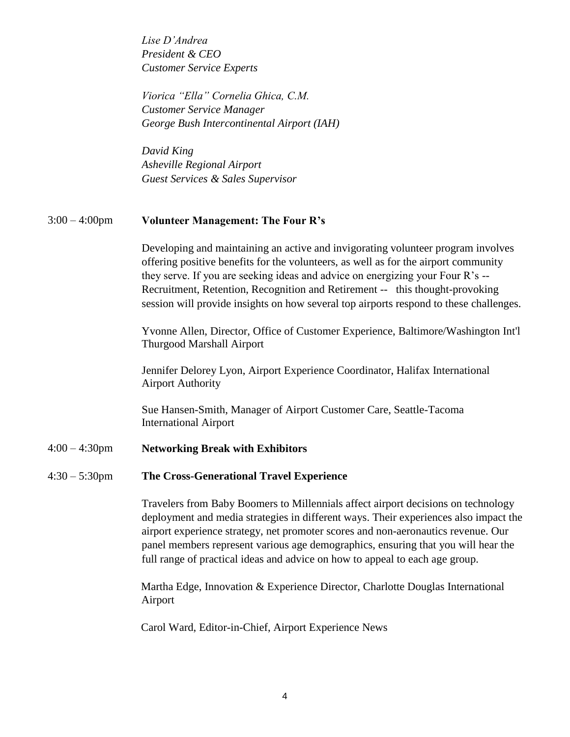*Lise D'Andrea President & CEO Customer Service Experts*

*Viorica "Ella" Cornelia Ghica, C.M. Customer Service Manager George Bush Intercontinental Airport (IAH)*

*David King Asheville Regional Airport Guest Services & Sales Supervisor*

## 3:00 – 4:00pm **Volunteer Management: The Four R's**

Developing and maintaining an active and invigorating volunteer program involves offering positive benefits for the volunteers, as well as for the airport community they serve. If you are seeking ideas and advice on energizing your Four R's -- Recruitment, Retention, Recognition and Retirement -- this thought-provoking session will provide insights on how several top airports respond to these challenges.

Yvonne Allen, Director, Office of Customer Experience, Baltimore/Washington Int'l Thurgood Marshall Airport

Jennifer Delorey Lyon, Airport Experience Coordinator, Halifax International Airport Authority

Sue Hansen-Smith, Manager of Airport Customer Care, Seattle-Tacoma International Airport

## 4:00 – 4:30pm **Networking Break with Exhibitors**

### 4:30 – 5:30pm **The Cross-Generational Travel Experience**

Travelers from Baby Boomers to Millennials affect airport decisions on technology deployment and media strategies in different ways. Their experiences also impact the airport experience strategy, net promoter scores and non-aeronautics revenue. Our panel members represent various age demographics, ensuring that you will hear the full range of practical ideas and advice on how to appeal to each age group.

Martha Edge, Innovation & Experience Director, Charlotte Douglas International Airport

Carol Ward, Editor-in-Chief, Airport Experience News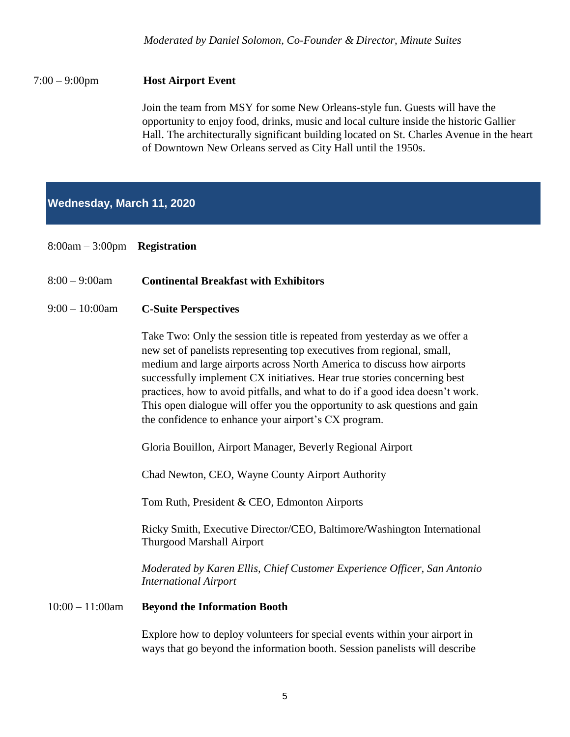# 7:00 – 9:00pm **Host Airport Event**

Join the team from MSY for some New Orleans-style fun. Guests will have the opportunity to enjoy food, drinks, music and local culture inside the historic Gallier Hall. The architecturally significant building located on St. Charles Avenue in the heart of Downtown New Orleans served as City Hall until the 1950s.

# **Wednesday, March 11, 2020**

- 8:00am 3:00pm **Registration**
- 8:00 9:00am **Continental Breakfast with Exhibitors**

## 9:00 – 10:00am **C-Suite Perspectives**

Take Two: Only the session title is repeated from yesterday as we offer a new set of panelists representing top executives from regional, small, medium and large airports across North America to discuss how airports successfully implement CX initiatives. Hear true stories concerning best practices, how to avoid pitfalls, and what to do if a good idea doesn't work. This open dialogue will offer you the opportunity to ask questions and gain the confidence to enhance your airport's CX program.

Gloria Bouillon, Airport Manager, Beverly Regional Airport

Chad Newton, CEO, Wayne County Airport Authority

Tom Ruth, President & CEO, Edmonton Airports

Ricky Smith, Executive Director/CEO, Baltimore/Washington International Thurgood Marshall Airport

*Moderated by Karen Ellis, Chief Customer Experience Officer, San Antonio International Airport* 

### 10:00 – 11:00am **Beyond the Information Booth**

Explore how to deploy volunteers for special events within your airport in ways that go beyond the information booth. Session panelists will describe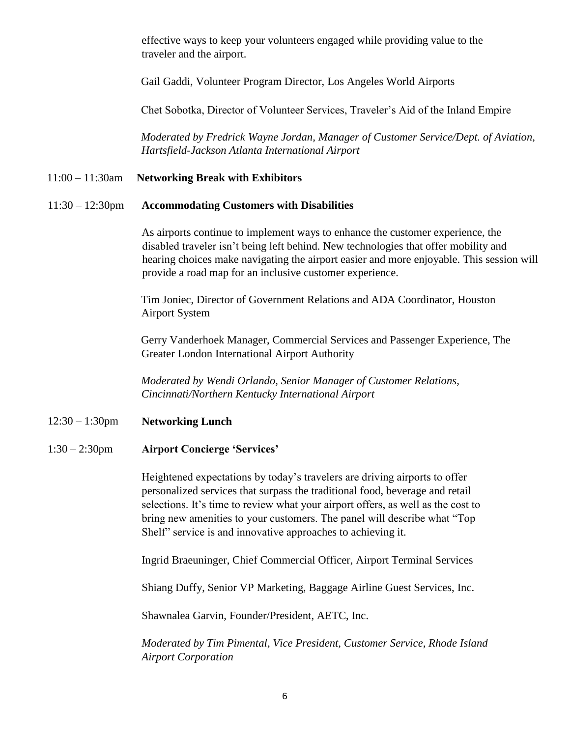effective ways to keep your volunteers engaged while providing value to the traveler and the airport.

Gail Gaddi, Volunteer Program Director, Los Angeles World Airports

Chet Sobotka, Director of Volunteer Services, Traveler's Aid of the Inland Empire

*Moderated by Fredrick Wayne Jordan, Manager of Customer Service/Dept. of Aviation, Hartsfield-Jackson Atlanta International Airport* 

## 11:00 – 11:30am **Networking Break with Exhibitors**

#### 11:30 – 12:30pm **Accommodating Customers with Disabilities**

As airports continue to implement ways to enhance the customer experience, the disabled traveler isn't being left behind. New technologies that offer mobility and hearing choices make navigating the airport easier and more enjoyable. This session will provide a road map for an inclusive customer experience.

Tim Joniec, Director of Government Relations and ADA Coordinator, Houston Airport System

Gerry Vanderhoek Manager, Commercial Services and Passenger Experience, The Greater London International Airport Authority

*Moderated by Wendi Orlando, Senior Manager of Customer Relations, Cincinnati/Northern Kentucky International Airport*

### 12:30 – 1:30pm **Networking Lunch**

1:30 – 2:30pm **Airport Concierge 'Services'** 

Heightened expectations by today's travelers are driving airports to offer personalized services that surpass the traditional food, beverage and retail selections. It's time to review what your airport offers, as well as the cost to bring new amenities to your customers. The panel will describe what "Top Shelf" service is and innovative approaches to achieving it.

Ingrid Braeuninger, Chief Commercial Officer, Airport Terminal Services

Shiang Duffy, Senior VP Marketing, Baggage Airline Guest Services, Inc.

Shawnalea Garvin, Founder/President, AETC, Inc.

*Moderated by Tim Pimental, Vice President, Customer Service, Rhode Island Airport Corporation*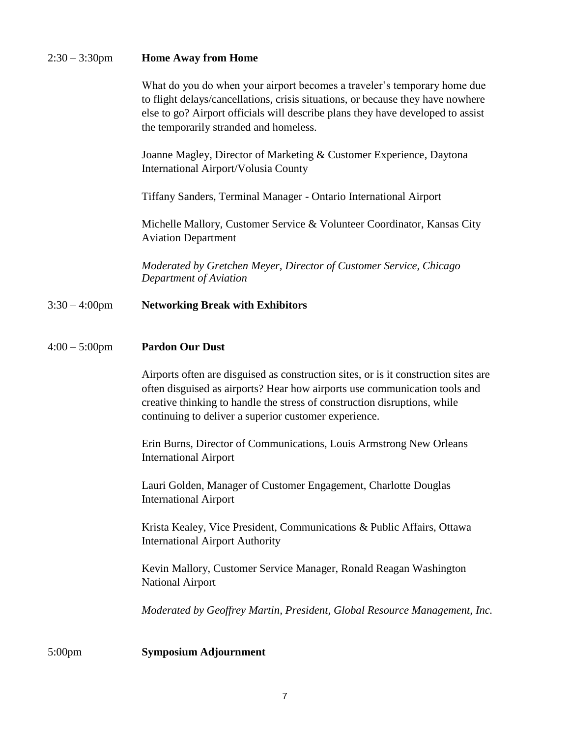## 2:30 – 3:30pm **Home Away from Home**

What do you do when your airport becomes a traveler's temporary home due to flight delays/cancellations, crisis situations, or because they have nowhere else to go? Airport officials will describe plans they have developed to assist the temporarily stranded and homeless.

Joanne Magley, Director of Marketing & Customer Experience, Daytona International Airport/Volusia County

Tiffany Sanders, Terminal Manager - Ontario International Airport

Michelle Mallory, Customer Service & Volunteer Coordinator, Kansas City Aviation Department

*Moderated by Gretchen Meyer, Director of Customer Service, Chicago Department of Aviation*

## 3:30 – 4:00pm **Networking Break with Exhibitors**

## 4:00 – 5:00pm **Pardon Our Dust**

Airports often are disguised as construction sites, or is it construction sites are often disguised as airports? Hear how airports use communication tools and creative thinking to handle the stress of construction disruptions, while continuing to deliver a superior customer experience.

Erin Burns, Director of Communications, Louis Armstrong New Orleans International Airport

Lauri Golden, Manager of Customer Engagement, Charlotte Douglas International Airport

Krista Kealey, Vice President, Communications & Public Affairs, Ottawa International Airport Authority

Kevin Mallory, Customer Service Manager, Ronald Reagan Washington National Airport

*Moderated by Geoffrey Martin, President, Global Resource Management, Inc.*

5:00pm **Symposium Adjournment**